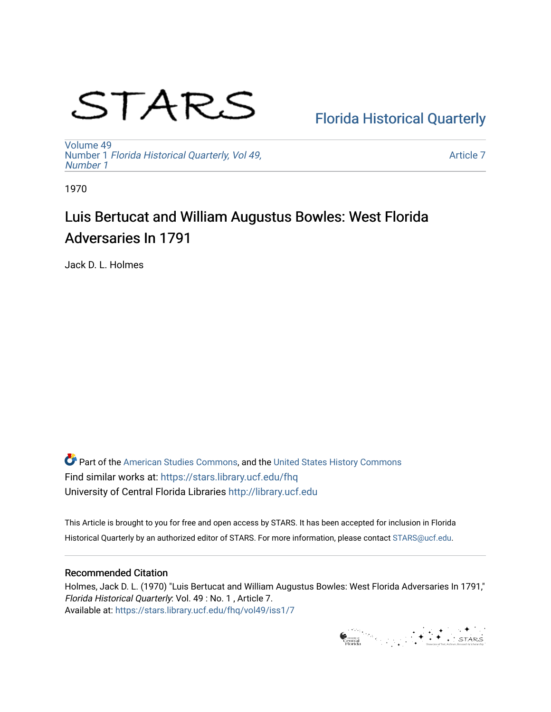# STARS

[Florida Historical Quarterly](https://stars.library.ucf.edu/fhq) 

[Volume 49](https://stars.library.ucf.edu/fhq/vol49) Number 1 [Florida Historical Quarterly, Vol 49,](https://stars.library.ucf.edu/fhq/vol49/iss1)  [Number 1](https://stars.library.ucf.edu/fhq/vol49/iss1)

[Article 7](https://stars.library.ucf.edu/fhq/vol49/iss1/7) 

1970

## Luis Bertucat and William Augustus Bowles: West Florida Adversaries In 1791

Jack D. L. Holmes

**C** Part of the [American Studies Commons](http://network.bepress.com/hgg/discipline/439?utm_source=stars.library.ucf.edu%2Ffhq%2Fvol49%2Fiss1%2F7&utm_medium=PDF&utm_campaign=PDFCoverPages), and the United States History Commons Find similar works at: <https://stars.library.ucf.edu/fhq> University of Central Florida Libraries [http://library.ucf.edu](http://library.ucf.edu/) 

This Article is brought to you for free and open access by STARS. It has been accepted for inclusion in Florida Historical Quarterly by an authorized editor of STARS. For more information, please contact [STARS@ucf.edu.](mailto:STARS@ucf.edu)

### Recommended Citation

Holmes, Jack D. L. (1970) "Luis Bertucat and William Augustus Bowles: West Florida Adversaries In 1791," Florida Historical Quarterly: Vol. 49 : No. 1 , Article 7. Available at: [https://stars.library.ucf.edu/fhq/vol49/iss1/7](https://stars.library.ucf.edu/fhq/vol49/iss1/7?utm_source=stars.library.ucf.edu%2Ffhq%2Fvol49%2Fiss1%2F7&utm_medium=PDF&utm_campaign=PDFCoverPages) 

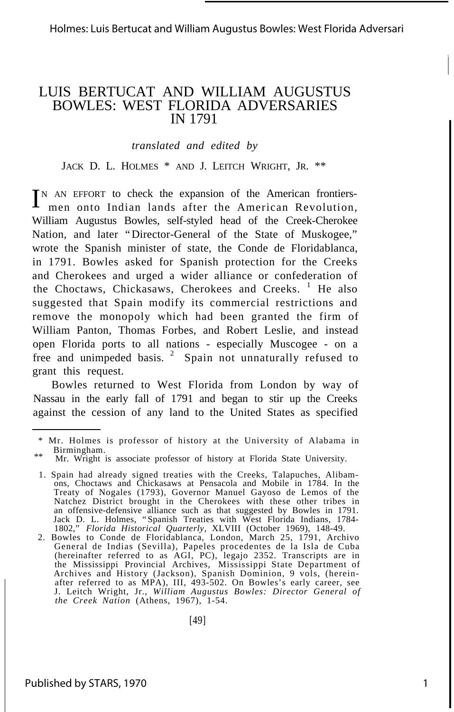Holmes: Luis Bertucat and William Augustus Bowles: West Florida Adversari

### LUIS BERTUCAT AND WILLIAM AUGUSTUS BOWLES: WEST FLORIDA ADVERSARIES IN 1791

#### *translated and edited by*

JACK D. L. HOLMES \* AND J. LEITCH WRIGHT, JR. \*\*

IN AN EFFORT to check the expansion of the American frontiers-<br>men onto Indian lands after the American Revolution, men onto Indian lands after the American Revolution, William Augustus Bowles, self-styled head of the Creek-Cherokee Nation, and later "Director-General of the State of Muskogee," wrote the Spanish minister of state, the Conde de Floridablanca, in 1791. Bowles asked for Spanish protection for the Creeks and Cherokees and urged a wider alliance or confederation of the Choctaws, Chickasaws, Cherokees and Creeks.<sup>1</sup> He also suggested that Spain modify its commercial restrictions and remove the monopoly which had been granted the firm of William Panton, Thomas Forbes, and Robert Leslie, and instead open Florida ports to all nations - especially Muscogee - on a free and unimpeded basis.  $2$  Spain not unnaturally refused to grant this request.

Bowles returned to West Florida from London by way of Nassau in the early fall of 1791 and began to stir up the Creeks against the cession of any land to the United States as specified

<sup>\*</sup> Mr. Holmes is professor of history at the University of Alabama in Birmingham.

<sup>\*\*</sup> Mr. Wright is associate professor of history at Florida State University.

<sup>1.</sup> Spain had already signed treaties with the Creeks, Talapuches, Alibamons, Choctaws and Chickasaws at Pensacola and Mobile in 1784. In the Treaty of Nogales (1793), Governor Manuel Gayoso de Lemos of the Natchez District brought in the Cherokees with these other tribes in an offensive-defensive alliance such as that suggested by Bowles in 1791. Jack D. L. Holmes, "Spanish Treaties with West Florida Indians, 1784-

<sup>1802,&</sup>quot; *Florida Historical Quarterly,* XLVIII (October 1969), 148-49. 2. Bowles to Conde de Floridablanca, London, March 25, 1791, Archivo General de Indias (Sevilla), Papeles procedentes de la Isla de Cuba (hereinafter referred to as AGI, PC), legajo 2352. Transcripts are in the Mississippi Provincial Archives, Mississippi State Department of Archives and History (Jackson), Spanish Dominion, 9 vols, (hereinafter referred to as MPA), III, 493-502. On Bowles's early career, see J. Leitch Wright, Jr., *William Augustus Bowles: Director General of the Creek Nation* (Athens, 1967), 1-54.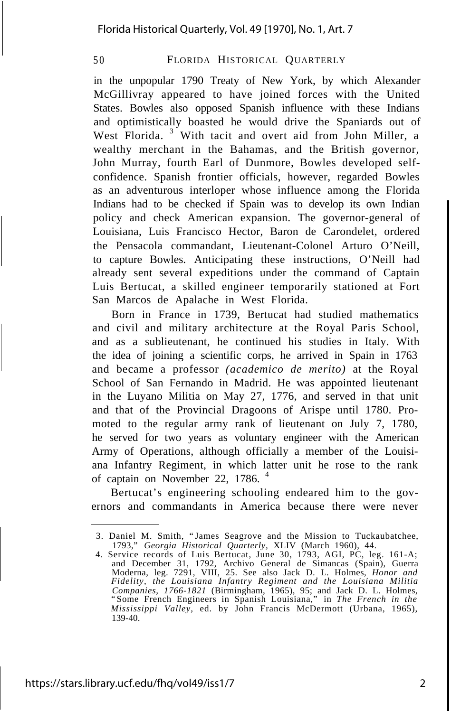in the unpopular 1790 Treaty of New York, by which Alexander McGillivray appeared to have joined forces with the United States. Bowles also opposed Spanish influence with these Indians and optimistically boasted he would drive the Spaniards out of West Florida. <sup>3</sup> With tacit and overt aid from John Miller, a wealthy merchant in the Bahamas, and the British governor, John Murray, fourth Earl of Dunmore, Bowles developed selfconfidence. Spanish frontier officials, however, regarded Bowles as an adventurous interloper whose influence among the Florida Indians had to be checked if Spain was to develop its own Indian policy and check American expansion. The governor-general of Louisiana, Luis Francisco Hector, Baron de Carondelet, ordered the Pensacola commandant, Lieutenant-Colonel Arturo O'Neill, to capture Bowles. Anticipating these instructions, O'Neill had already sent several expeditions under the command of Captain Luis Bertucat, a skilled engineer temporarily stationed at Fort San Marcos de Apalache in West Florida.

Born in France in 1739, Bertucat had studied mathematics and civil and military architecture at the Royal Paris School, and as a sublieutenant, he continued his studies in Italy. With the idea of joining a scientific corps, he arrived in Spain in 1763 and became a professor *(academico de merito)* at the Royal School of San Fernando in Madrid. He was appointed lieutenant in the Luyano Militia on May 27, 1776, and served in that unit and that of the Provincial Dragoons of Arispe until 1780. Promoted to the regular army rank of lieutenant on July 7, 1780, he served for two years as voluntary engineer with the American Army of Operations, although officially a member of the Louisiana Infantry Regiment, in which latter unit he rose to the rank of captain on November 22, 1786.<sup>4</sup>

Bertucat's engineering schooling endeared him to the governors and commandants in America because there were never

<sup>3.</sup> Daniel M. Smith, "James Seagrove and the Mission to Tuckaubatchee, 1793," *Georgia Historical Quarterly,* XLIV (March 1960), 44.

<sup>4.</sup> Service records of Luis Bertucat, June 30, 1793, AGI, PC, leg. 161-A; and December 31, 1792, Archivo General de Simancas (Spain), Guerra Moderna, leg. 7291, VIII, 25. See also Jack D. L. Holmes, *Honor and Fidelity, the Louisiana Infantry Regiment and the Louisiana Militia Companies, 1766-1821* (Birmingham, 1965), 95; and Jack D. L. Holmes, "Some French Engineers in Spanish Louisiana," in *The French in the Mississippi Valley,* ed. by John Francis McDermott (Urbana, 1965), 139-40.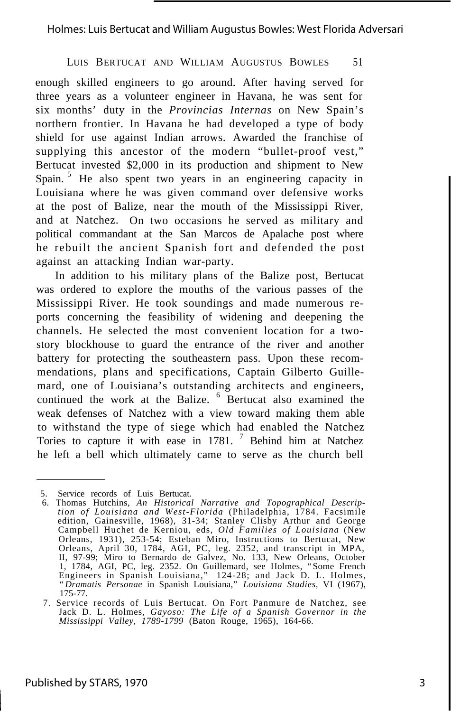enough skilled engineers to go around. After having served for three years as a volunteer engineer in Havana, he was sent for six months' duty in the *Provincias Internas* on New Spain's northern frontier. In Havana he had developed a type of body shield for use against Indian arrows. Awarded the franchise of supplying this ancestor of the modern "bullet-proof vest," Bertucat invested \$2,000 in its production and shipment to New Spain.<sup>5</sup> He also spent two years in an engineering capacity in Louisiana where he was given command over defensive works at the post of Balize, near the mouth of the Mississippi River, and at Natchez. On two occasions he served as military and political commandant at the San Marcos de Apalache post where he rebuilt the ancient Spanish fort and defended the post against an attacking Indian war-party.

In addition to his military plans of the Balize post, Bertucat was ordered to explore the mouths of the various passes of the Mississippi River. He took soundings and made numerous reports concerning the feasibility of widening and deepening the channels. He selected the most convenient location for a twostory blockhouse to guard the entrance of the river and another battery for protecting the southeastern pass. Upon these recommendations, plans and specifications, Captain Gilberto Guillemard, one of Louisiana's outstanding architects and engineers, continued the work at the Balize. <sup>6</sup> Bertucat also examined the weak defenses of Natchez with a view toward making them able to withstand the type of siege which had enabled the Natchez Tories to capture it with ease in 1781.<sup>7</sup> Behind him at Natchez he left a bell which ultimately came to serve as the church bell

<sup>5.</sup> Service records of Luis Bertucat. 6. Thomas Hutchins, *An Historical Narrative and Topographical Description of Louisiana and West-Florida* (Philadelphia, 1784. Facsimile edition, Gainesville, 1968), 31-34; Stanley Clisby Arthur and George Campbell Huchet de Kerniou, eds, *Old Families of Louisiana* (New Orleans, 1931), 253-54; Esteban Miro, Instructions to Bertucat, New Orleans, April 30, 1784, AGI, PC, leg. 2352, and transcript in MPA, II, 97-99; Miro to Bernardo de Galvez, No. 133, New Orleans, October 1, 1784, AGI, PC, leg. 2352. On Guillemard, see Holmes, "Some French Engineers in Spanish Louisiana," 124-28; and Jack D. L. Holmes, *"Dramatis Personae* in Spanish Louisiana," *Louisiana Studies,* VI (1967), 175-77.

<sup>7.</sup> Service records of Luis Bertucat. On Fort Panmure de Natchez, see Jack D. L. Holmes, *Gayoso: The Life of a Spanish Governor in the Mississippi Valley, 1789-1799* (Baton Rouge, 1965), 164-66.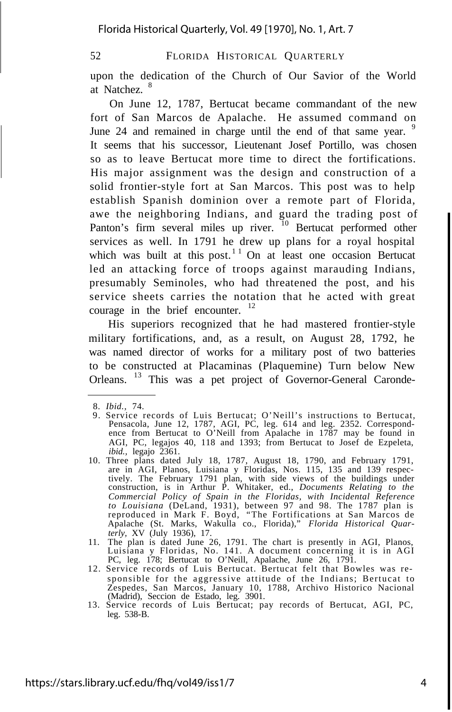upon the dedication of the Church of Our Savior of the World at Natchez<sup>8</sup>

On June 12, 1787, Bertucat became commandant of the new fort of San Marcos de Apalache. He assumed command on June 24 and remained in charge until the end of that same year. <sup>9</sup> It seems that his successor, Lieutenant Josef Portillo, was chosen so as to leave Bertucat more time to direct the fortifications. His major assignment was the design and construction of a solid frontier-style fort at San Marcos. This post was to help establish Spanish dominion over a remote part of Florida, awe the neighboring Indians, and guard the trading post of Panton's firm several miles up river. <sup>10</sup> Bertucat performed other services as well. In 1791 he drew up plans for a royal hospital which was built at this post. $11$  On at least one occasion Bertucat led an attacking force of troops against marauding Indians, presumably Seminoles, who had threatened the post, and his service sheets carries the notation that he acted with great courage in the brief encounter.  $12$ 

His superiors recognized that he had mastered frontier-style military fortifications, and, as a result, on August 28, 1792, he was named director of works for a military post of two batteries to be constructed at Placaminas (Plaquemine) Turn below New Orleans. <sup>13</sup> This was a pet project of Governor-General Caronde-

<sup>8.</sup> *Ibid.,* 74.

<sup>9.</sup> Service records of Luis Bertucat; O'Neill's instructions to Bertucat, Pensacola, June 12, 1787, AGI, PC, leg. 614 and leg. 2352. Correspond-ence from Bertucat to O'Neill from Apalache in 1787 may be found in AGI, PC, legajos 40, 118 and 1393; from Bertucat to Josef de Ezpeleta, *ibid.,* legajo 2361.

<sup>10.</sup> Three plans dated July 18, 1787, August 18, 1790, and February 1791, are in AGI, Planos, Luisiana y Floridas, Nos. 115, 135 and 139 respec-tively. The February 1791 plan, with side views of the buildings under construction, is in Arthur P. Whitaker, ed., *Documents Relating to the Commercial Policy of Spain in the Floridas, with Incidental Reference to Louisiana* (DeLand, 1931), between 97 and 98. The 1787 plan is reproduced in Mark F. Boyd, "The Fortifications at San Marcos de Apalache (St. Marks, Wakulla co., Florida)," *Florida Historical Quarterly,* XV (July 1936), 17.

<sup>11.</sup> The plan is dated June 26, 1791. The chart is presently in AGI, Planos, Luisiana y Floridas, No. 141. A document concerning it is in AGI PC, leg. 178; Bertucat to O'Neill, Apalache, June 26, 1791. Service records of Lu

sponsible for the aggressive attitude of the Indians; Bertucat to Zespedes, San Marcos, January 10, 1788, Archivo Historico Nacional (Madrid), Seccion de Estado, leg. 3901.

<sup>13.</sup> Service records of Luis Bertucat; pay records of Bertucat, AGI, PC, leg. 538-B.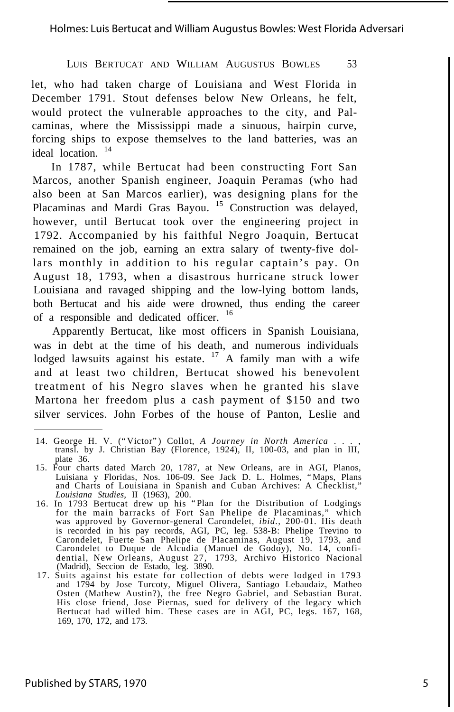#### Holmes: Luis Bertucat and William Augustus Bowles: West Florida Adversari

#### LUIS BERTUCAT AND WILLIAM AUGUSTUS BOWLES 53

let, who had taken charge of Louisiana and West Florida in December 1791. Stout defenses below New Orleans, he felt, would protect the vulnerable approaches to the city, and Palcaminas, where the Mississippi made a sinuous, hairpin curve, forcing ships to expose themselves to the land batteries, was an ideal location. <sup>14</sup>

In 1787, while Bertucat had been constructing Fort San Marcos, another Spanish engineer, Joaquin Peramas (who had also been at San Marcos earlier), was designing plans for the Placaminas and Mardi Gras Bayou.<sup>15</sup> Construction was delayed, however, until Bertucat took over the engineering project in 1792. Accompanied by his faithful Negro Joaquin, Bertucat remained on the job, earning an extra salary of twenty-five dollars monthly in addition to his regular captain's pay. On August 18, 1793, when a disastrous hurricane struck lower Louisiana and ravaged shipping and the low-lying bottom lands, both Bertucat and his aide were drowned, thus ending the career of a responsible and dedicated officer. <sup>16</sup>

Apparently Bertucat, like most officers in Spanish Louisiana, was in debt at the time of his death, and numerous individuals lodged lawsuits against his estate.  $17$  A family man with a wife and at least two children, Bertucat showed his benevolent treatment of his Negro slaves when he granted his slave Martona her freedom plus a cash payment of \$150 and two silver services. John Forbes of the house of Panton, Leslie and

Louisiana Studies, II (1963), 200.<br>16. In 1793 Bertucat drew up his "Plan for the Distribution of Lodgings<br>for the main barracks of Fort San Phelipe de Placaminas," which<br>was approved by Governor-general Carondelet, *ibid.* is recorded in his pay records, AGI, PC, leg. 538-B: Phelipe Trevino to Carondelet, Fuerte San Phelipe de Placaminas, August 19, 1793, and Carondelet to Duque de Alcudia (Manuel de Godoy), No. 14, confidential, New Orleans, August 27, 1793, Archivo Historico Nacional

<sup>14.</sup> George H. V. ("Victor") Collot, *A Journey in North America* . . . , transl. by J. Christian Bay (Florence, 1924), II, 100-03, and plan in III, plate 36.

<sup>15.</sup> Four charts dated March 20, 1787, at New Orleans, are in AGI, Planos, Luisiana y Floridas, Nos. 106-09. See Jack D. L. Holmes, "Maps, Plans and Charts of Louisiana in Spanish and Cuban Archives: A Checklist,'

<sup>(</sup>Madrid), Seccion de Estado, leg. 3890. 17. Suits against his estate for collection of debts were lodged in 1793 and 1794 by Jose Turcoty, Miguel Olivera, Santiago Lebaudaiz, Matheo Osten (Mathew Austin?), the free Negro Gabriel, and Sebastian Burat. His close friend, Jose Piernas, sued for delivery of the legacy which Bertucat had willed him. These cases are in AGI, PC, legs. 167, 168, 169, 170, 172, and 173.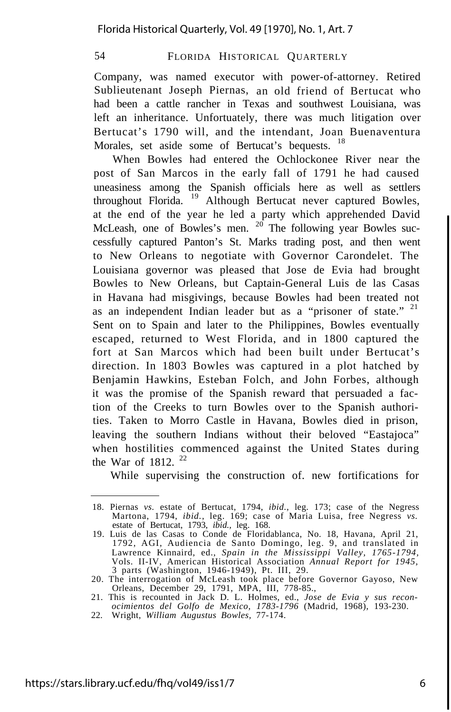Company, was named executor with power-of-attorney. Retired Sublieutenant Joseph Piernas, an old friend of Bertucat who had been a cattle rancher in Texas and southwest Louisiana, was left an inheritance. Unfortuately, there was much litigation over Bertucat's 1790 will, and the intendant, Joan Buenaventura Morales, set aside some of Bertucat's bequests. <sup>18</sup>

When Bowles had entered the Ochlockonee River near the post of San Marcos in the early fall of 1791 he had caused uneasiness among the Spanish officials here as well as settlers throughout Florida. <sup>19</sup> Although Bertucat never captured Bowles, at the end of the year he led a party which apprehended David McLeash, one of Bowles's men.  $20^{\circ}$  The following year Bowles successfully captured Panton's St. Marks trading post, and then went to New Orleans to negotiate with Governor Carondelet. The Louisiana governor was pleased that Jose de Evia had brought Bowles to New Orleans, but Captain-General Luis de las Casas in Havana had misgivings, because Bowles had been treated not as an independent Indian leader but as a "prisoner of state."  $21$ Sent on to Spain and later to the Philippines, Bowles eventually escaped, returned to West Florida, and in 1800 captured the fort at San Marcos which had been built under Bertucat's direction. In 1803 Bowles was captured in a plot hatched by Benjamin Hawkins, Esteban Folch, and John Forbes, although it was the promise of the Spanish reward that persuaded a faction of the Creeks to turn Bowles over to the Spanish authorities. Taken to Morro Castle in Havana, Bowles died in prison, leaving the southern Indians without their beloved "Eastajoca" when hostilities commenced against the United States during the War of 1812.  $22$ 

While supervising the construction of. new fortifications for

<sup>18.</sup> Piernas *vs.* estate of Bertucat, 1794, *ibid.,* leg. 173; case of the Negress Martona, 1794, *ibid.,* leg. 169; case of Maria Luisa, free Negress *vs.* estate of Bertucat, 1793, *ibid.,* leg. 168. 19. Luis de las Casas to Conde de Floridablanca, No. 18, Havana, April 21,

<sup>1792,</sup> AGI, Audiencia de Santo Domingo, leg. 9, and translated in Lawrence Kinnaird, ed., *Spain in the Mississippi Valley, 1765-1794,* Vols. II-IV, American Historical Association *Annual Report for 1945,* 3 parts (Washington, 1946-1949), Pt. III, 29.

<sup>20.</sup> The interrogation of McLeash took place before Governor Gayoso, New<br>Orleans, December 29, 1791, MPA, III, 778-85.,<br>21. This is recounted in Jack D. L. Holmes, ed., Jose de Evia y sus recon-<br>ocimientos del Golfo de Mexi

<sup>22.</sup> Wright, *William Augustus Bowles,* 77-174.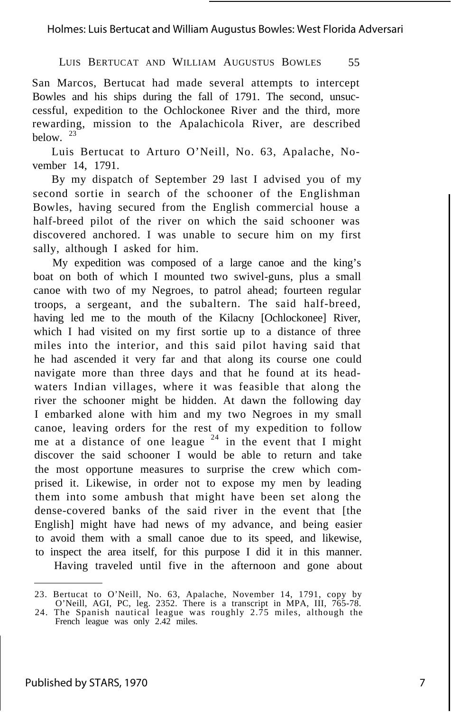#### Holmes: Luis Bertucat and William Augustus Bowles: West Florida Adversari

#### LUIS BERTUCAT AND WILLIAM AUGUSTUS BOWLES 55

San Marcos, Bertucat had made several attempts to intercept Bowles and his ships during the fall of 1791. The second, unsuccessful, expedition to the Ochlockonee River and the third, more rewarding, mission to the Apalachicola River, are described below.  $^{23}$ 

Luis Bertucat to Arturo O'Neill, No. 63, Apalache, November 14, 1791.

By my dispatch of September 29 last I advised you of my second sortie in search of the schooner of the Englishman Bowles, having secured from the English commercial house a half-breed pilot of the river on which the said schooner was discovered anchored. I was unable to secure him on my first sally, although I asked for him.

My expedition was composed of a large canoe and the king's boat on both of which I mounted two swivel-guns, plus a small canoe with two of my Negroes, to patrol ahead; fourteen regular troops, a sergeant, and the subaltern. The said half-breed, having led me to the mouth of the Kilacny [Ochlockonee] River, which I had visited on my first sortie up to a distance of three miles into the interior, and this said pilot having said that he had ascended it very far and that along its course one could navigate more than three days and that he found at its headwaters Indian villages, where it was feasible that along the river the schooner might be hidden. At dawn the following day I embarked alone with him and my two Negroes in my small canoe, leaving orders for the rest of my expedition to follow me at a distance of one league  $24$  in the event that I might discover the said schooner I would be able to return and take the most opportune measures to surprise the crew which comprised it. Likewise, in order not to expose my men by leading them into some ambush that might have been set along the dense-covered banks of the said river in the event that [the English] might have had news of my advance, and being easier to avoid them with a small canoe due to its speed, and likewise, to inspect the area itself, for this purpose I did it in this manner. Having traveled until five in the afternoon and gone about

<sup>23.</sup> Bertucat to O'Neill, No. 63, Apalache, November 14, 1791, copy by O'Neill, AGI, PC, leg. 2352. There is a transcript in MPA, III, 765-78. 24. The Spanish nautical league was roughly 2.75 miles, although the

French league was only 2.42 miles.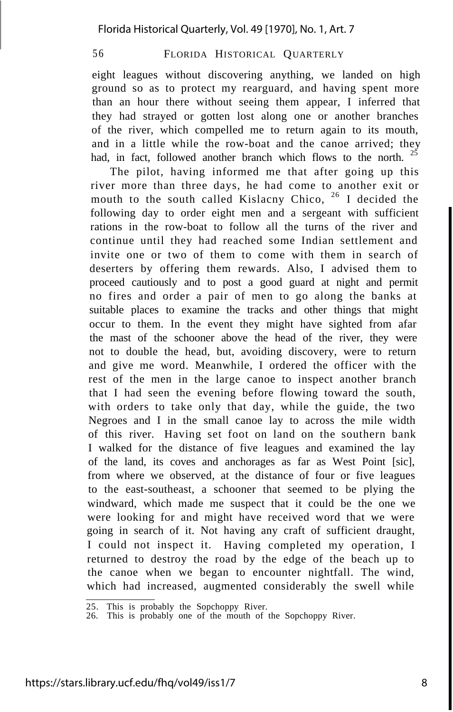eight leagues without discovering anything, we landed on high ground so as to protect my rearguard, and having spent more than an hour there without seeing them appear, I inferred that they had strayed or gotten lost along one or another branches of the river, which compelled me to return again to its mouth, and in a little while the row-boat and the canoe arrived; they had, in fact, followed another branch which flows to the north.

The pilot, having informed me that after going up this river more than three days, he had come to another exit or mouth to the south called Kislacny Chico, <sup>26</sup> I decided the following day to order eight men and a sergeant with sufficient rations in the row-boat to follow all the turns of the river and continue until they had reached some Indian settlement and invite one or two of them to come with them in search of deserters by offering them rewards. Also, I advised them to proceed cautiously and to post a good guard at night and permit no fires and order a pair of men to go along the banks at suitable places to examine the tracks and other things that might occur to them. In the event they might have sighted from afar the mast of the schooner above the head of the river, they were not to double the head, but, avoiding discovery, were to return and give me word. Meanwhile, I ordered the officer with the rest of the men in the large canoe to inspect another branch that I had seen the evening before flowing toward the south, with orders to take only that day, while the guide, the two Negroes and I in the small canoe lay to across the mile width of this river. Having set foot on land on the southern bank I walked for the distance of five leagues and examined the lay of the land, its coves and anchorages as far as West Point [sic], from where we observed, at the distance of four or five leagues to the east-southeast, a schooner that seemed to be plying the windward, which made me suspect that it could be the one we were looking for and might have received word that we were going in search of it. Not having any craft of sufficient draught, I could not inspect it. Having completed my operation, I returned to destroy the road by the edge of the beach up to the canoe when we began to encounter nightfall. The wind, which had increased, augmented considerably the swell while

<sup>25.</sup> This is probably the Sopchoppy River.

<sup>26.</sup> This is probably one of the mouth of the Sopchoppy River.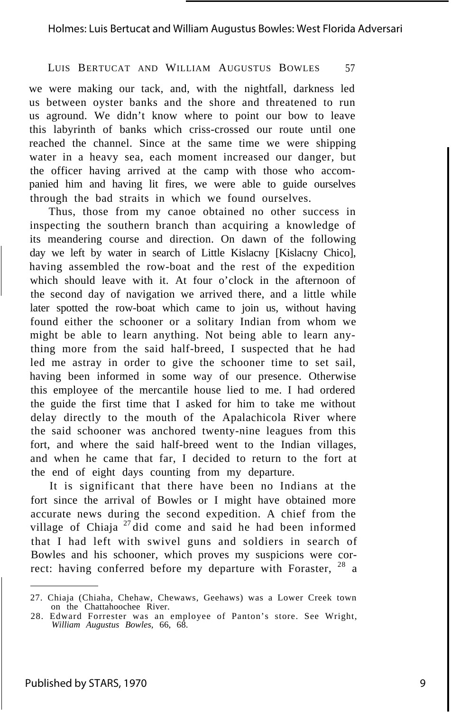we were making our tack, and, with the nightfall, darkness led us between oyster banks and the shore and threatened to run us aground. We didn't know where to point our bow to leave this labyrinth of banks which criss-crossed our route until one reached the channel. Since at the same time we were shipping water in a heavy sea, each moment increased our danger, but the officer having arrived at the camp with those who accompanied him and having lit fires, we were able to guide ourselves through the bad straits in which we found ourselves.

Thus, those from my canoe obtained no other success in inspecting the southern branch than acquiring a knowledge of its meandering course and direction. On dawn of the following day we left by water in search of Little Kislacny [Kislacny Chico], having assembled the row-boat and the rest of the expedition which should leave with it. At four o'clock in the afternoon of the second day of navigation we arrived there, and a little while later spotted the row-boat which came to join us, without having found either the schooner or a solitary Indian from whom we might be able to learn anything. Not being able to learn anything more from the said half-breed, I suspected that he had led me astray in order to give the schooner time to set sail, having been informed in some way of our presence. Otherwise this employee of the mercantile house lied to me. I had ordered the guide the first time that I asked for him to take me without delay directly to the mouth of the Apalachicola River where the said schooner was anchored twenty-nine leagues from this fort, and where the said half-breed went to the Indian villages, and when he came that far, I decided to return to the fort at the end of eight days counting from my departure.

It is significant that there have been no Indians at the fort since the arrival of Bowles or I might have obtained more accurate news during the second expedition. A chief from the village of Chiaja  $27$  did come and said he had been informed that I had left with swivel guns and soldiers in search of Bowles and his schooner, which proves my suspicions were correct: having conferred before my departure with Foraster,  $^{28}$  a

<sup>27.</sup> Chiaja (Chiaha, Chehaw, Chewaws, Geehaws) was a Lower Creek town on the Chattahoochee River.

<sup>28.</sup> Edward Forrester was an employee of Panton's store. See Wright, *William Augustus Bowles,* 66, 68.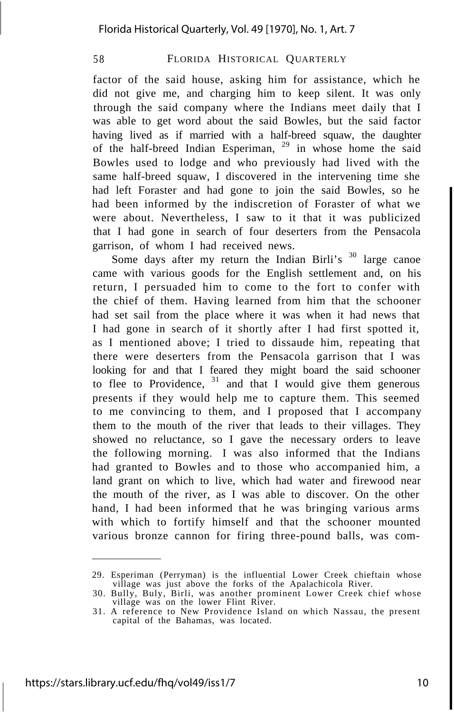factor of the said house, asking him for assistance, which he did not give me, and charging him to keep silent. It was only through the said company where the Indians meet daily that I was able to get word about the said Bowles, but the said factor having lived as if married with a half-breed squaw, the daughter of the half-breed Indian Esperiman,  $29$  in whose home the said Bowles used to lodge and who previously had lived with the same half-breed squaw, I discovered in the intervening time she had left Foraster and had gone to join the said Bowles, so he had been informed by the indiscretion of Foraster of what we were about. Nevertheless, I saw to it that it was publicized that I had gone in search of four deserters from the Pensacola garrison, of whom I had received news.

Some days after my return the Indian Birli's <sup>30</sup> large canoe came with various goods for the English settlement and, on his return, I persuaded him to come to the fort to confer with the chief of them. Having learned from him that the schooner had set sail from the place where it was when it had news that I had gone in search of it shortly after I had first spotted it, as I mentioned above; I tried to dissaude him, repeating that there were deserters from the Pensacola garrison that I was looking for and that I feared they might board the said schooner to flee to Providence,  $31$  and that I would give them generous presents if they would help me to capture them. This seemed to me convincing to them, and I proposed that I accompany them to the mouth of the river that leads to their villages. They showed no reluctance, so I gave the necessary orders to leave the following morning. I was also informed that the Indians had granted to Bowles and to those who accompanied him, a land grant on which to live, which had water and firewood near the mouth of the river, as I was able to discover. On the other hand, I had been informed that he was bringing various arms with which to fortify himself and that the schooner mounted various bronze cannon for firing three-pound balls, was com-

<sup>29.</sup> Esperiman (Perryman) is the influential Lower Creek chieftain whose village was just above the forks of the Apalachicola River.

<sup>30.</sup> Bully, Buly, Birli, was another prominent Lower Creek chief whose village was on the lower Flint River.

<sup>31.</sup> A reference to New Providence Island on which Nassau, the present capital of the Bahamas, was located.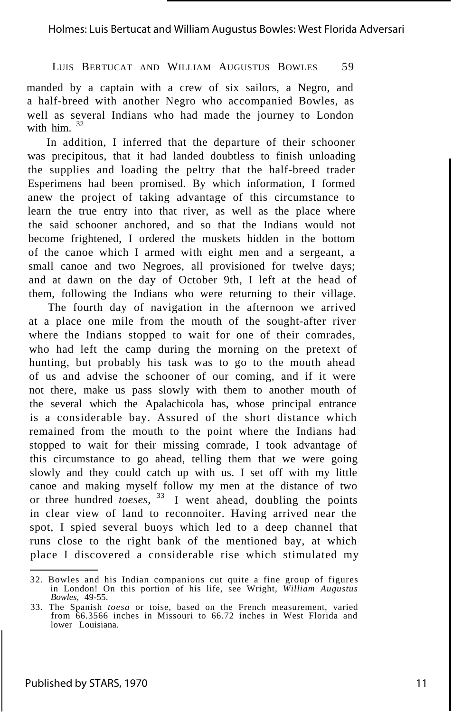manded by a captain with a crew of six sailors, a Negro, and a half-breed with another Negro who accompanied Bowles, as well as several Indians who had made the journey to London with him.  $32$ 

In addition, I inferred that the departure of their schooner was precipitous, that it had landed doubtless to finish unloading the supplies and loading the peltry that the half-breed trader Esperimens had been promised. By which information, I formed anew the project of taking advantage of this circumstance to learn the true entry into that river, as well as the place where the said schooner anchored, and so that the Indians would not become frightened, I ordered the muskets hidden in the bottom of the canoe which I armed with eight men and a sergeant, a small canoe and two Negroes, all provisioned for twelve days; and at dawn on the day of October 9th, I left at the head of them, following the Indians who were returning to their village.

The fourth day of navigation in the afternoon we arrived at a place one mile from the mouth of the sought-after river where the Indians stopped to wait for one of their comrades, who had left the camp during the morning on the pretext of hunting, but probably his task was to go to the mouth ahead of us and advise the schooner of our coming, and if it were not there, make us pass slowly with them to another mouth of the several which the Apalachicola has, whose principal entrance is a considerable bay. Assured of the short distance which remained from the mouth to the point where the Indians had stopped to wait for their missing comrade, I took advantage of this circumstance to go ahead, telling them that we were going slowly and they could catch up with us. I set off with my little canoe and making myself follow my men at the distance of two or three hundred *toeses,* <sup>33</sup> I went ahead, doubling the points in clear view of land to reconnoiter. Having arrived near the spot, I spied several buoys which led to a deep channel that runs close to the right bank of the mentioned bay, at which place I discovered a considerable rise which stimulated my

<sup>32.</sup> Bowles and his Indian companions cut quite a fine group of figures in London! On this portion of his life, see Wright, *William Augustus Bowles,* 49-55.

<sup>33.</sup> The Spanish *toesa* or toise, based on the French measurement, varied from 66.3566 inches in Missouri to 66.72 inches in West Florida and lower Louisiana.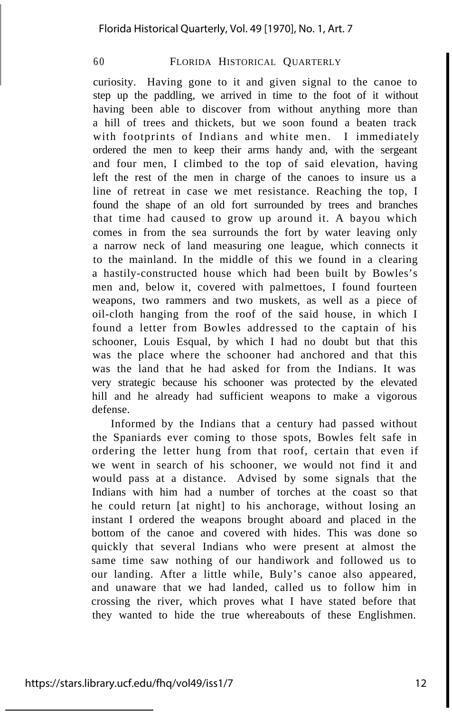curiosity. Having gone to it and given signal to the canoe to step up the paddling, we arrived in time to the foot of it without having been able to discover from without anything more than a hill of trees and thickets, but we soon found a beaten track with footprints of Indians and white men. I immediately ordered the men to keep their arms handy and, with the sergeant and four men, I climbed to the top of said elevation, having left the rest of the men in charge of the canoes to insure us a line of retreat in case we met resistance. Reaching the top, I found the shape of an old fort surrounded by trees and branches that time had caused to grow up around it. A bayou which comes in from the sea surrounds the fort by water leaving only a narrow neck of land measuring one league, which connects it to the mainland. In the middle of this we found in a clearing a hastily-constructed house which had been built by Bowles's men and, below it, covered with palmettoes, I found fourteen weapons, two rammers and two muskets, as well as a piece of oil-cloth hanging from the roof of the said house, in which I found a letter from Bowles addressed to the captain of his schooner, Louis Esqual, by which I had no doubt but that this was the place where the schooner had anchored and that this was the land that he had asked for from the Indians. It was very strategic because his schooner was protected by the elevated hill and he already had sufficient weapons to make a vigorous defense.

Informed by the Indians that a century had passed without the Spaniards ever coming to those spots, Bowles felt safe in ordering the letter hung from that roof, certain that even if we went in search of his schooner, we would not find it and would pass at a distance. Advised by some signals that the Indians with him had a number of torches at the coast so that he could return [at night] to his anchorage, without losing an instant I ordered the weapons brought aboard and placed in the bottom of the canoe and covered with hides. This was done so quickly that several Indians who were present at almost the same time saw nothing of our handiwork and followed us to our landing. After a little while, Buly's canoe also appeared, and unaware that we had landed, called us to follow him in crossing the river, which proves what I have stated before that they wanted to hide the true whereabouts of these Englishmen.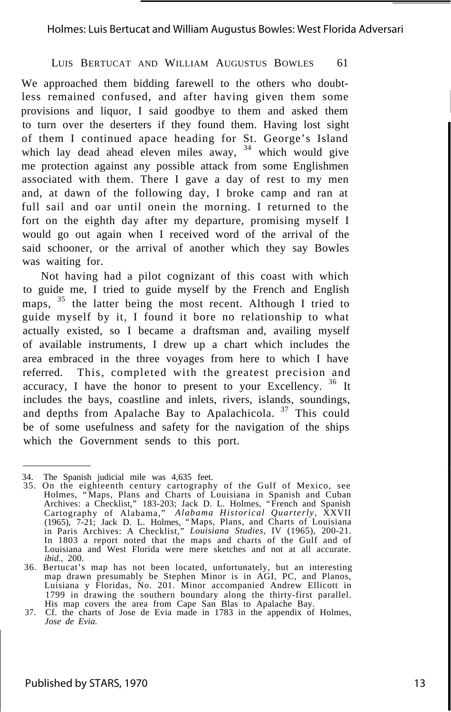We approached them bidding farewell to the others who doubtless remained confused, and after having given them some provisions and liquor, I said goodbye to them and asked them to turn over the deserters if they found them. Having lost sight of them I continued apace heading for St. George's Island which lay dead ahead eleven miles away,  $34$  which would give me protection against any possible attack from some Englishmen associated with them. There I gave a day of rest to my men and, at dawn of the following day, I broke camp and ran at full sail and oar until onein the morning. I returned to the fort on the eighth day after my departure, promising myself I would go out again when I received word of the arrival of the said schooner, or the arrival of another which they say Bowles was waiting for.

Not having had a pilot cognizant of this coast with which to guide me, I tried to guide myself by the French and English maps, <sup>35</sup> the latter being the most recent. Although I tried to guide myself by it, I found it bore no relationship to what actually existed, so I became a draftsman and, availing myself of available instruments, I drew up a chart which includes the area embraced in the three voyages from here to which I have referred. This, completed with the greatest precision and accuracy, I have the honor to present to your Excellency. <sup>36</sup> It includes the bays, coastline and inlets, rivers, islands, soundings, and depths from Apalache Bay to Apalachicola. <sup>37</sup> This could be of some usefulness and safety for the navigation of the ships which the Government sends to this port.

I

<sup>34.</sup> The Spanish judicial mile was 4,635 feet. 35. On the eighteenth century cartography of the Gulf of Mexico, see Holmes, "Maps, Plans and Charts of Louisiana in Spanish and Cuban Archives: a Checklist," 183-203; Jack D. L. Holmes, "French and Spanish<br>Cartography of Alabama," *Alabama Historical Quarterly*, XXVII<br>(1965), 7-21; Jack D. L. Holmes, "Maps, Plans, and Charts of Louisiana<br>in Paris Archive "Maps, Plans, and Charts of Louisiana *Louisiana Studies,* IV (1965), 200-21. In 1803 a report noted that the maps and charts of the Gulf and of Louisiana and West Florida were mere sketches and not at all accurate. *ibid.,* 200.

<sup>36.</sup> Bertucat's map has not been located, unfortunately, but an interesting map drawn presumably be Stephen Minor is in AGI, PC, and Planos, Luisiana y Floridas, No. 201. Minor accompanied Andrew Ellicott in 1799 in drawing the southern boundary along the thirty-first parallel. His map covers the area from Cape San Blas to Apalache Bay. 37. Cf. the charts of Jose de Evia made in 1783 in the appendix of Holmes,

*Jose de Evia.*